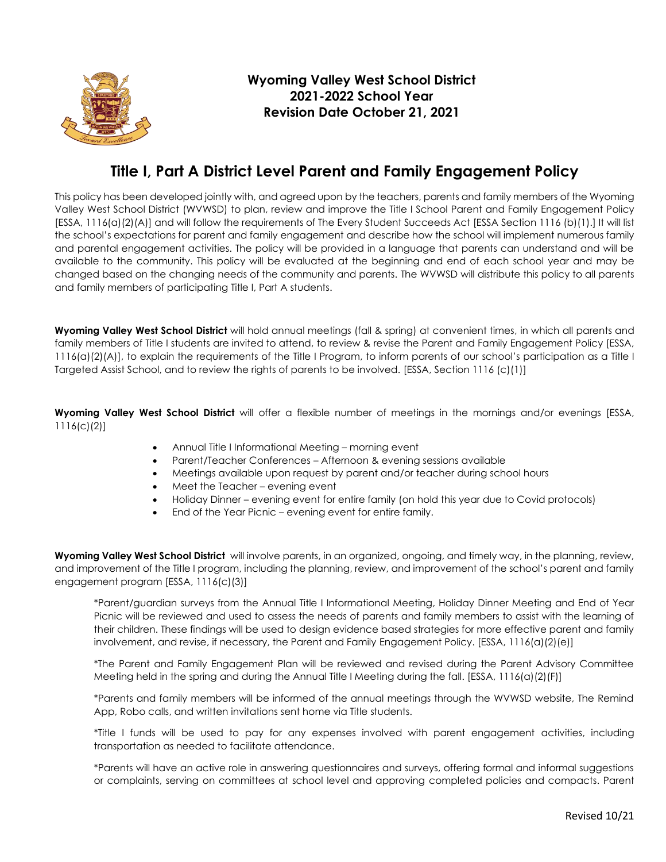

## **Title I, Part A District Level Parent and Family Engagement Policy**

This policy has been developed jointly with, and agreed upon by the teachers, parents and family members of the Wyoming Valley West School District (WVWSD) to plan, review and improve the Title I School Parent and Family Engagement Policy [ESSA, 1116(a)(2)(A)] and will follow the requirements of The Every Student Succeeds Act [ESSA Section 1116 (b)(1).] It will list the school's expectations for parent and family engagement and describe how the school will implement numerous family and parental engagement activities. The policy will be provided in a language that parents can understand and will be available to the community. This policy will be evaluated at the beginning and end of each school year and may be changed based on the changing needs of the community and parents. The WVWSD will distribute this policy to all parents and family members of participating Title I, Part A students.

**Wyoming Valley West School District** will hold annual meetings (fall & spring) at convenient times, in which all parents and family members of Title I students are invited to attend, to review & revise the Parent and Family Engagement Policy [ESSA, 1116(a)(2)(A)], to explain the requirements of the Title I Program, to inform parents of our school's participation as a Title I Targeted Assist School, and to review the rights of parents to be involved. [ESSA, Section 1116 (c)(1)]

**Wyoming Valley West School District** will offer a flexible number of meetings in the mornings and/or evenings [ESSA, 1116(c)(2)]

- Annual Title I Informational Meeting morning event
- Parent/Teacher Conferences Afternoon & evening sessions available
- Meetings available upon request by parent and/or teacher during school hours
- Meet the Teacher evening event
- Holiday Dinner evening event for entire family (on hold this year due to Covid protocols)
- End of the Year Picnic evening event for entire family.

**Wyoming Valley West School District** will involve parents, in an organized, ongoing, and timely way, in the planning, review, and improvement of the Title I program, including the planning, review, and improvement of the school's parent and family engagement program [ESSA, 1116(c)(3)]

\*Parent/guardian surveys from the Annual Title I Informational Meeting, Holiday Dinner Meeting and End of Year Picnic will be reviewed and used to assess the needs of parents and family members to assist with the learning of their children. These findings will be used to design evidence based strategies for more effective parent and family involvement, and revise, if necessary, the Parent and Family Engagement Policy. [ESSA, 1116(a)(2)(e)]

\*The Parent and Family Engagement Plan will be reviewed and revised during the Parent Advisory Committee Meeting held in the spring and during the Annual Title I Meeting during the fall. [ESSA, 1116(a)(2)(F)]

\*Parents and family members will be informed of the annual meetings through the WVWSD website, The Remind App, Robo calls, and written invitations sent home via Title students.

\*Title I funds will be used to pay for any expenses involved with parent engagement activities, including transportation as needed to facilitate attendance.

\*Parents will have an active role in answering questionnaires and surveys, offering formal and informal suggestions or complaints, serving on committees at school level and approving completed policies and compacts. Parent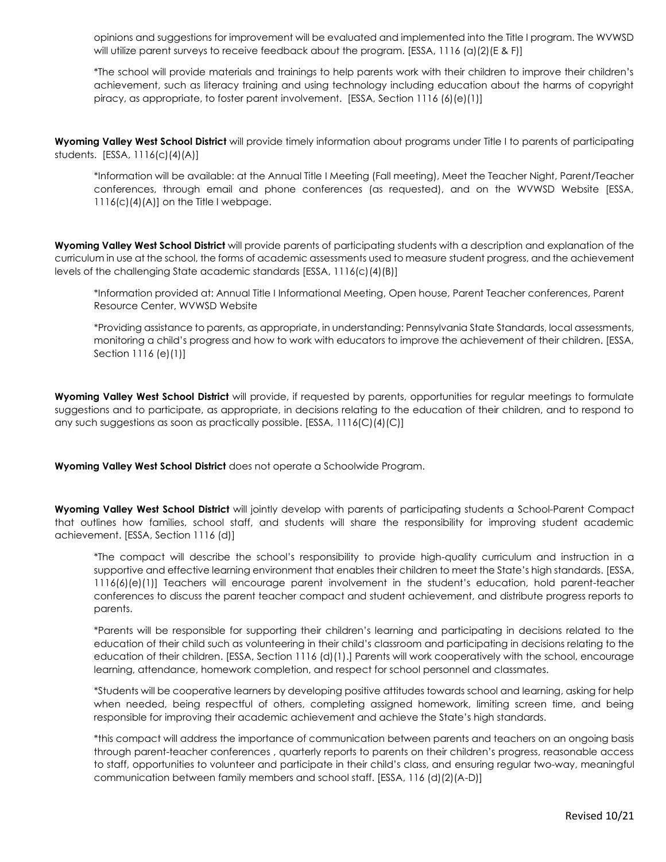opinions and suggestions for improvement will be evaluated and implemented into the Title I program. The WVWSD will utilize parent surveys to receive feedback about the program. [ESSA, 1116 (a)(2)(E & F)]

\*The school will provide materials and trainings to help parents work with their children to improve their children's achievement, such as literacy training and using technology including education about the harms of copyright piracy, as appropriate, to foster parent involvement. [ESSA, Section 1116 (6)(e)(1)]

**Wyoming Valley West School District** will provide timely information about programs under Title I to parents of participating students. [ESSA, 1116(c)(4)(A)]

\*Information will be available: at the Annual Title I Meeting (Fall meeting), Meet the Teacher Night, Parent/Teacher conferences, through email and phone conferences (as requested), and on the WVWSD Website [ESSA, 1116(c)(4)(A)] on the Title I webpage.

**Wyoming Valley West School District** will provide parents of participating students with a description and explanation of the curriculum in use at the school, the forms of academic assessments used to measure student progress, and the achievement levels of the challenging State academic standards [ESSA, 1116(c)(4)(B)]

\*Information provided at: Annual Title I Informational Meeting, Open house, Parent Teacher conferences, Parent Resource Center, WVWSD Website

\*Providing assistance to parents, as appropriate, in understanding: Pennsylvania State Standards, local assessments, monitoring a child's progress and how to work with educators to improve the achievement of their children. [ESSA, Section 1116 (e)(1)]

**Wyoming Valley West School District** will provide, if requested by parents, opportunities for regular meetings to formulate suggestions and to participate, as appropriate, in decisions relating to the education of their children, and to respond to any such suggestions as soon as practically possible. [ESSA, 1116(C)(4)(C)]

**Wyoming Valley West School District** does not operate a Schoolwide Program.

**Wyoming Valley West School District** will jointly develop with parents of participating students a School-Parent Compact that outlines how families, school staff, and students will share the responsibility for improving student academic achievement. [ESSA, Section 1116 (d)]

\*The compact will describe the school's responsibility to provide high-quality curriculum and instruction in a supportive and effective learning environment that enables their children to meet the State's high standards. [ESSA, 1116(6)(e)(1)] Teachers will encourage parent involvement in the student's education, hold parent-teacher conferences to discuss the parent teacher compact and student achievement, and distribute progress reports to parents.

\*Parents will be responsible for supporting their children's learning and participating in decisions related to the education of their child such as volunteering in their child's classroom and participating in decisions relating to the education of their children. [ESSA, Section 1116 (d)(1).] Parents will work cooperatively with the school, encourage learning, attendance, homework completion, and respect for school personnel and classmates.

\*Students will be cooperative learners by developing positive attitudes towards school and learning, asking for help when needed, being respectful of others, completing assigned homework, limiting screen time, and being responsible for improving their academic achievement and achieve the State's high standards.

\*this compact will address the importance of communication between parents and teachers on an ongoing basis through parent-teacher conferences , quarterly reports to parents on their children's progress, reasonable access to staff, opportunities to volunteer and participate in their child's class, and ensuring regular two-way, meaningful communication between family members and school staff. [ESSA, 116 (d)(2)(A-D)]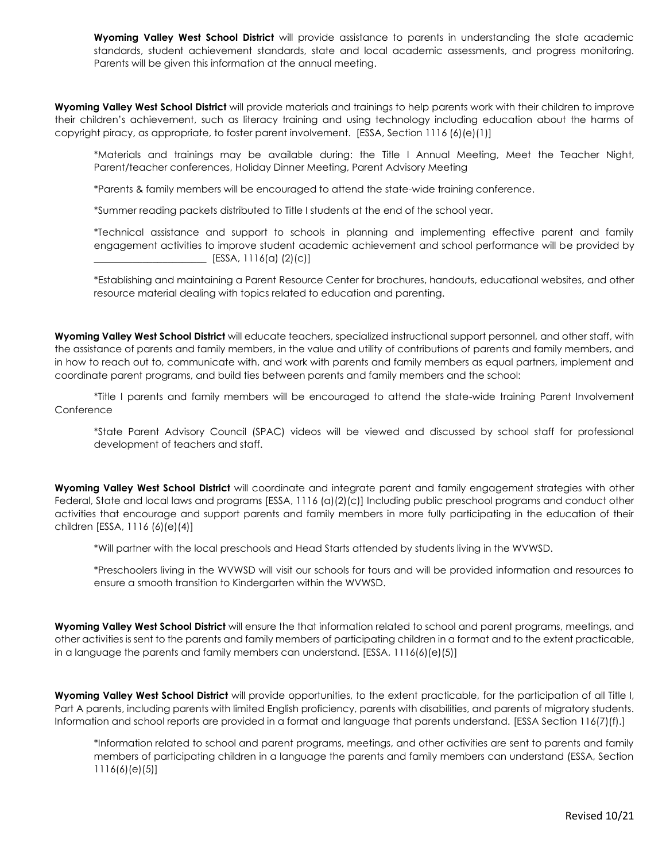**Wyoming Valley West School District** will provide assistance to parents in understanding the state academic standards, student achievement standards, state and local academic assessments, and progress monitoring. Parents will be given this information at the annual meeting.

**Wyoming Valley West School District** will provide materials and trainings to help parents work with their children to improve their children's achievement, such as literacy training and using technology including education about the harms of copyright piracy, as appropriate, to foster parent involvement. [ESSA, Section 1116 (6)(e)(1)]

\*Materials and trainings may be available during: the Title I Annual Meeting, Meet the Teacher Night, Parent/teacher conferences, Holiday Dinner Meeting, Parent Advisory Meeting

\*Parents & family members will be encouraged to attend the state-wide training conference.

\*Summer reading packets distributed to Title I students at the end of the school year.

\*Technical assistance and support to schools in planning and implementing effective parent and family engagement activities to improve student academic achievement and school performance will be provided by  $\Box$  [ESSA, 1116(a) (2)(c)]

\*Establishing and maintaining a Parent Resource Center for brochures, handouts, educational websites, and other resource material dealing with topics related to education and parenting.

**Wyoming Valley West School District** will educate teachers, specialized instructional support personnel, and other staff, with the assistance of parents and family members, in the value and utility of contributions of parents and family members, and in how to reach out to, communicate with, and work with parents and family members as equal partners, implement and coordinate parent programs, and build ties between parents and family members and the school:

\*Title I parents and family members will be encouraged to attend the state-wide training Parent Involvement **Conference** 

\*State Parent Advisory Council (SPAC) videos will be viewed and discussed by school staff for professional development of teachers and staff.

**Wyoming Valley West School District** will coordinate and integrate parent and family engagement strategies with other Federal, State and local laws and programs [ESSA, 1116 (a)(2)(c)] Including public preschool programs and conduct other activities that encourage and support parents and family members in more fully participating in the education of their children [ESSA, 1116 (6)(e)(4)]

\*Will partner with the local preschools and Head Starts attended by students living in the WVWSD.

\*Preschoolers living in the WVWSD will visit our schools for tours and will be provided information and resources to ensure a smooth transition to Kindergarten within the WVWSD.

**Wyoming Valley West School District** will ensure the that information related to school and parent programs, meetings, and other activities is sent to the parents and family members of participating children in a format and to the extent practicable, in a language the parents and family members can understand. [ESSA, 1116(6)(e)(5)]

**Wyoming Valley West School District** will provide opportunities, to the extent practicable, for the participation of all Title I, Part A parents, including parents with limited English proficiency, parents with disabilities, and parents of migratory students. Information and school reports are provided in a format and language that parents understand. [ESSA Section 116(7)(f).]

\*Information related to school and parent programs, meetings, and other activities are sent to parents and family members of participating children in a language the parents and family members can understand (ESSA, Section 1116(6)(e)(5)]